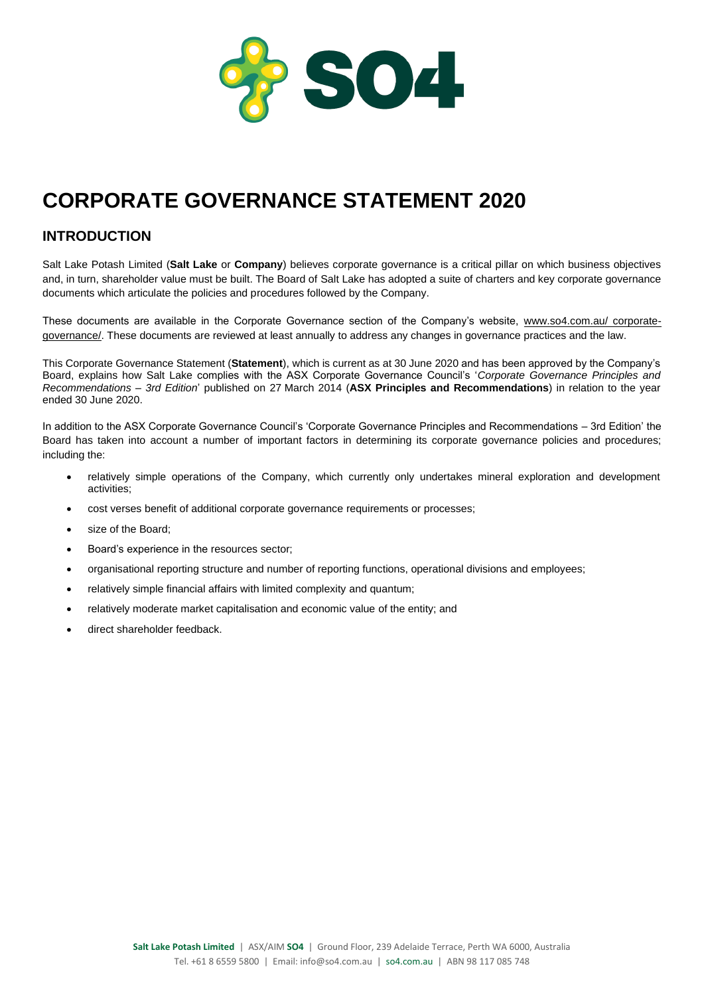

# **CORPORATE GOVERNANCE STATEMENT 2020**

# **INTRODUCTION**

Salt Lake Potash Limited (**Salt Lake** or **Company**) believes corporate governance is a critical pillar on which business objectives and, in turn, shareholder value must be built. The Board of Salt Lake has adopted a suite of charters and key corporate governance documents which articulate the policies and procedures followed by the Company.

These documents are available in the Corporate Governance section of the Company's website, www.so4.com.au/ corporategovernance/. These documents are reviewed at least annually to address any changes in governance practices and the law.

This Corporate Governance Statement (**Statement**), which is current as at 30 June 2020 and has been approved by the Company's Board, explains how Salt Lake complies with the ASX Corporate Governance Council's '*Corporate Governance Principles and Recommendations – 3rd Edition*' published on 27 March 2014 (**ASX Principles and Recommendations**) in relation to the year ended 30 June 2020.

In addition to the ASX Corporate Governance Council's 'Corporate Governance Principles and Recommendations – 3rd Edition' the Board has taken into account a number of important factors in determining its corporate governance policies and procedures; including the:

- relatively simple operations of the Company, which currently only undertakes mineral exploration and development activities;
- cost verses benefit of additional corporate governance requirements or processes;
- size of the Board:
- Board's experience in the resources sector;
- organisational reporting structure and number of reporting functions, operational divisions and employees;
- relatively simple financial affairs with limited complexity and quantum;
- relatively moderate market capitalisation and economic value of the entity; and
- direct shareholder feedback.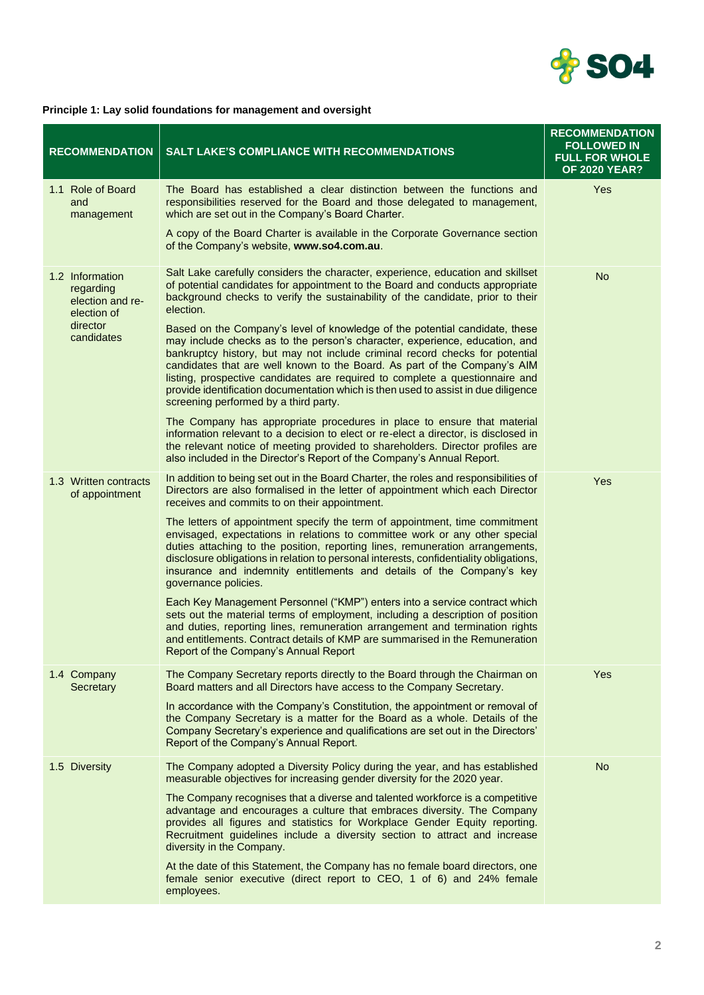

#### **Principle 1: Lay solid foundations for management and oversight**

| <b>RECOMMENDATION</b>                                                                     | <b>SALT LAKE'S COMPLIANCE WITH RECOMMENDATIONS</b>                                                                                                                                                                                                                                                                                                                                                                                                                                                                                                                                                                                                                                                                                                                                                                                                                                                                                                                                                                                                             | <b>RECOMMENDATION</b><br><b>FOLLOWED IN</b><br><b>FULL FOR WHOLE</b><br><b>OF 2020 YEAR?</b> |
|-------------------------------------------------------------------------------------------|----------------------------------------------------------------------------------------------------------------------------------------------------------------------------------------------------------------------------------------------------------------------------------------------------------------------------------------------------------------------------------------------------------------------------------------------------------------------------------------------------------------------------------------------------------------------------------------------------------------------------------------------------------------------------------------------------------------------------------------------------------------------------------------------------------------------------------------------------------------------------------------------------------------------------------------------------------------------------------------------------------------------------------------------------------------|----------------------------------------------------------------------------------------------|
| 1.1 Role of Board<br>and<br>management                                                    | The Board has established a clear distinction between the functions and<br>responsibilities reserved for the Board and those delegated to management,<br>which are set out in the Company's Board Charter.                                                                                                                                                                                                                                                                                                                                                                                                                                                                                                                                                                                                                                                                                                                                                                                                                                                     | Yes                                                                                          |
|                                                                                           | A copy of the Board Charter is available in the Corporate Governance section<br>of the Company's website, www.so4.com.au.                                                                                                                                                                                                                                                                                                                                                                                                                                                                                                                                                                                                                                                                                                                                                                                                                                                                                                                                      |                                                                                              |
| 1.2 Information<br>regarding<br>election and re-<br>election of<br>director<br>candidates | Salt Lake carefully considers the character, experience, education and skillset<br>of potential candidates for appointment to the Board and conducts appropriate<br>background checks to verify the sustainability of the candidate, prior to their<br>election.<br>Based on the Company's level of knowledge of the potential candidate, these<br>may include checks as to the person's character, experience, education, and<br>bankruptcy history, but may not include criminal record checks for potential<br>candidates that are well known to the Board. As part of the Company's AIM<br>listing, prospective candidates are required to complete a questionnaire and<br>provide identification documentation which is then used to assist in due diligence<br>screening performed by a third party.<br>The Company has appropriate procedures in place to ensure that material<br>information relevant to a decision to elect or re-elect a director, is disclosed in<br>the relevant notice of meeting provided to shareholders. Director profiles are | <b>No</b>                                                                                    |
| 1.3 Written contracts<br>of appointment                                                   | also included in the Director's Report of the Company's Annual Report.<br>In addition to being set out in the Board Charter, the roles and responsibilities of<br>Directors are also formalised in the letter of appointment which each Director<br>receives and commits to on their appointment.                                                                                                                                                                                                                                                                                                                                                                                                                                                                                                                                                                                                                                                                                                                                                              | Yes                                                                                          |
|                                                                                           | The letters of appointment specify the term of appointment, time commitment<br>envisaged, expectations in relations to committee work or any other special<br>duties attaching to the position, reporting lines, remuneration arrangements,<br>disclosure obligations in relation to personal interests, confidentiality obligations,<br>insurance and indemnity entitlements and details of the Company's key<br>governance policies.                                                                                                                                                                                                                                                                                                                                                                                                                                                                                                                                                                                                                         |                                                                                              |
|                                                                                           | Each Key Management Personnel ("KMP") enters into a service contract which<br>sets out the material terms of employment, including a description of position<br>and duties, reporting lines, remuneration arrangement and termination rights<br>and entitlements. Contract details of KMP are summarised in the Remuneration<br>Report of the Company's Annual Report                                                                                                                                                                                                                                                                                                                                                                                                                                                                                                                                                                                                                                                                                          |                                                                                              |
| 1.4 Company<br>Secretary                                                                  | The Company Secretary reports directly to the Board through the Chairman on<br>Board matters and all Directors have access to the Company Secretary.                                                                                                                                                                                                                                                                                                                                                                                                                                                                                                                                                                                                                                                                                                                                                                                                                                                                                                           | Yes                                                                                          |
|                                                                                           | In accordance with the Company's Constitution, the appointment or removal of<br>the Company Secretary is a matter for the Board as a whole. Details of the<br>Company Secretary's experience and qualifications are set out in the Directors'<br>Report of the Company's Annual Report.                                                                                                                                                                                                                                                                                                                                                                                                                                                                                                                                                                                                                                                                                                                                                                        |                                                                                              |
| 1.5 Diversity                                                                             | The Company adopted a Diversity Policy during the year, and has established<br>measurable objectives for increasing gender diversity for the 2020 year.                                                                                                                                                                                                                                                                                                                                                                                                                                                                                                                                                                                                                                                                                                                                                                                                                                                                                                        | <b>No</b>                                                                                    |
|                                                                                           | The Company recognises that a diverse and talented workforce is a competitive<br>advantage and encourages a culture that embraces diversity. The Company<br>provides all figures and statistics for Workplace Gender Equity reporting.<br>Recruitment guidelines include a diversity section to attract and increase<br>diversity in the Company.                                                                                                                                                                                                                                                                                                                                                                                                                                                                                                                                                                                                                                                                                                              |                                                                                              |
|                                                                                           | At the date of this Statement, the Company has no female board directors, one<br>female senior executive (direct report to CEO, 1 of 6) and 24% female<br>employees.                                                                                                                                                                                                                                                                                                                                                                                                                                                                                                                                                                                                                                                                                                                                                                                                                                                                                           |                                                                                              |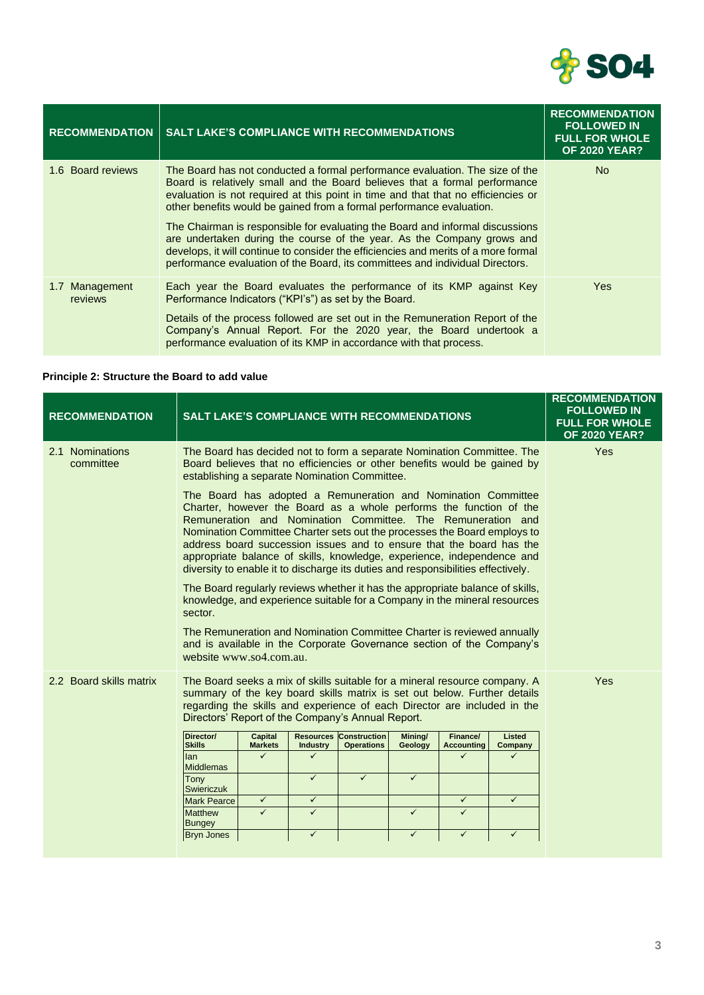

| <b>RECOMMENDATION</b>     | <b>SALT LAKE'S COMPLIANCE WITH RECOMMENDATIONS</b>                                                                                                                                                                                                                                                                                                                                                                                                                                                                                                                                                                                                         | <b>RECOMMENDATION</b><br><b>FOLLOWED IN</b><br><b>FULL FOR WHOLE</b><br><b>OF 2020 YEAR?</b> |
|---------------------------|------------------------------------------------------------------------------------------------------------------------------------------------------------------------------------------------------------------------------------------------------------------------------------------------------------------------------------------------------------------------------------------------------------------------------------------------------------------------------------------------------------------------------------------------------------------------------------------------------------------------------------------------------------|----------------------------------------------------------------------------------------------|
| 1.6 Board reviews         | The Board has not conducted a formal performance evaluation. The size of the<br>Board is relatively small and the Board believes that a formal performance<br>evaluation is not required at this point in time and that that no efficiencies or<br>other benefits would be gained from a formal performance evaluation.<br>The Chairman is responsible for evaluating the Board and informal discussions<br>are undertaken during the course of the year. As the Company grows and<br>develops, it will continue to consider the efficiencies and merits of a more formal<br>performance evaluation of the Board, its committees and individual Directors. | N <sub>o</sub>                                                                               |
| 1.7 Management<br>reviews | Each year the Board evaluates the performance of its KMP against Key<br>Performance Indicators ("KPI's") as set by the Board.<br>Details of the process followed are set out in the Remuneration Report of the<br>Company's Annual Report. For the 2020 year, the Board undertook a<br>performance evaluation of its KMP in accordance with that process.                                                                                                                                                                                                                                                                                                  | Yes                                                                                          |

# **Principle 2: Structure the Board to add value**

| <b>RECOMMENDATION</b>        | <b>SALT LAKE'S COMPLIANCE WITH RECOMMENDATIONS</b>                                                                                                                                                                                                                                                                                                                                                                                                                                                                   |                           |                                     |                                          |                         |                               |                   | <b>RECOMMENDATION</b><br><b>FOLLOWED IN</b><br><b>FULL FOR WHOLE</b><br><b>OF 2020 YEAR?</b> |
|------------------------------|----------------------------------------------------------------------------------------------------------------------------------------------------------------------------------------------------------------------------------------------------------------------------------------------------------------------------------------------------------------------------------------------------------------------------------------------------------------------------------------------------------------------|---------------------------|-------------------------------------|------------------------------------------|-------------------------|-------------------------------|-------------------|----------------------------------------------------------------------------------------------|
| 2.1 Nominations<br>committee | The Board has decided not to form a separate Nomination Committee. The<br>Board believes that no efficiencies or other benefits would be gained by<br>establishing a separate Nomination Committee.                                                                                                                                                                                                                                                                                                                  |                           |                                     |                                          |                         |                               |                   | Yes                                                                                          |
|                              | The Board has adopted a Remuneration and Nomination Committee<br>Charter, however the Board as a whole performs the function of the<br>Remuneration and Nomination Committee. The Remuneration and<br>Nomination Committee Charter sets out the processes the Board employs to<br>address board succession issues and to ensure that the board has the<br>appropriate balance of skills, knowledge, experience, independence and<br>diversity to enable it to discharge its duties and responsibilities effectively. |                           |                                     |                                          |                         |                               |                   |                                                                                              |
|                              | The Board regularly reviews whether it has the appropriate balance of skills,<br>knowledge, and experience suitable for a Company in the mineral resources<br>sector.                                                                                                                                                                                                                                                                                                                                                |                           |                                     |                                          |                         |                               |                   |                                                                                              |
|                              | The Remuneration and Nomination Committee Charter is reviewed annually<br>and is available in the Corporate Governance section of the Company's<br>website www.so4.com.au.                                                                                                                                                                                                                                                                                                                                           |                           |                                     |                                          |                         |                               |                   |                                                                                              |
| 2.2 Board skills matrix      | The Board seeks a mix of skills suitable for a mineral resource company. A<br>summary of the key board skills matrix is set out below. Further details<br>regarding the skills and experience of each Director are included in the<br>Directors' Report of the Company's Annual Report.                                                                                                                                                                                                                              |                           |                                     |                                          |                         |                               |                   | Yes                                                                                          |
|                              | Director/<br><b>Skills</b>                                                                                                                                                                                                                                                                                                                                                                                                                                                                                           | Capital<br><b>Markets</b> | <b>Resources</b><br><b>Industry</b> | <b>Construction</b><br><b>Operations</b> | Mining/<br>Geology      | Finance/<br><b>Accounting</b> | Listed<br>Company |                                                                                              |
|                              | lan<br><b>Middlemas</b>                                                                                                                                                                                                                                                                                                                                                                                                                                                                                              | ✓                         | ✓                                   |                                          |                         | ✓                             |                   |                                                                                              |
|                              | Tony<br><b>Swiericzuk</b>                                                                                                                                                                                                                                                                                                                                                                                                                                                                                            |                           | $\checkmark$                        | $\checkmark$                             | $\checkmark$            |                               |                   |                                                                                              |
|                              | <b>Mark Pearce</b>                                                                                                                                                                                                                                                                                                                                                                                                                                                                                                   | $\checkmark$              | $\checkmark$                        |                                          |                         | $\checkmark$                  | $\checkmark$      |                                                                                              |
|                              | <b>Matthew</b><br><b>Bungey</b>                                                                                                                                                                                                                                                                                                                                                                                                                                                                                      | $\checkmark$              | $\checkmark$                        |                                          | $\overline{\checkmark}$ | $\overline{\checkmark}$       |                   |                                                                                              |
|                              | <b>Bryn Jones</b>                                                                                                                                                                                                                                                                                                                                                                                                                                                                                                    |                           | $\checkmark$                        |                                          | $\checkmark$            | $\checkmark$                  | $\checkmark$      |                                                                                              |
|                              |                                                                                                                                                                                                                                                                                                                                                                                                                                                                                                                      |                           |                                     |                                          |                         |                               |                   |                                                                                              |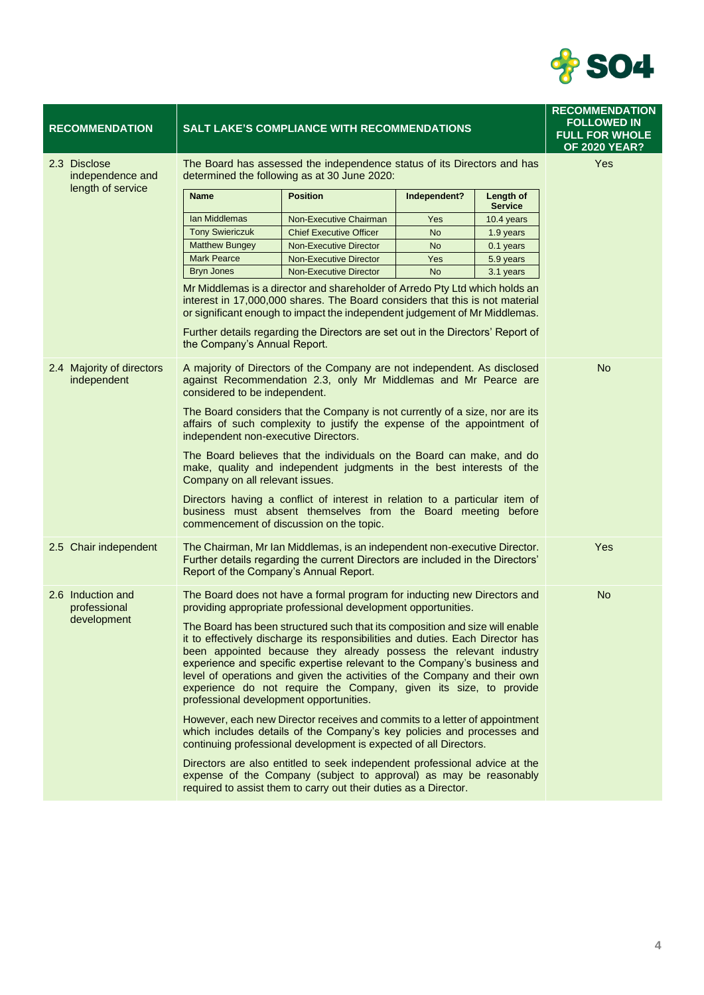

|                        |                                |                                                                                                                                                                                                                                                                           |                                                                                                                                                                        | <b>RECOMMENDATION</b><br><b>FOLLOWED IN</b><br><b>FULL FOR WHOLE</b><br><b>OF 2020 YEAR?</b>                                                                                                                                                                                                                                                                                                                                                                                                                                                                                                                                                                                                                                                                                                                                                                                                                                                                                                                                                                                                                                                                                                                                                                                                                                                                                                                                                                                                                                                                                                                                                                                                                                                                                                                                                                                                                                                                                                                                                                                                                                                                                        |
|------------------------|--------------------------------|---------------------------------------------------------------------------------------------------------------------------------------------------------------------------------------------------------------------------------------------------------------------------|------------------------------------------------------------------------------------------------------------------------------------------------------------------------|-------------------------------------------------------------------------------------------------------------------------------------------------------------------------------------------------------------------------------------------------------------------------------------------------------------------------------------------------------------------------------------------------------------------------------------------------------------------------------------------------------------------------------------------------------------------------------------------------------------------------------------------------------------------------------------------------------------------------------------------------------------------------------------------------------------------------------------------------------------------------------------------------------------------------------------------------------------------------------------------------------------------------------------------------------------------------------------------------------------------------------------------------------------------------------------------------------------------------------------------------------------------------------------------------------------------------------------------------------------------------------------------------------------------------------------------------------------------------------------------------------------------------------------------------------------------------------------------------------------------------------------------------------------------------------------------------------------------------------------------------------------------------------------------------------------------------------------------------------------------------------------------------------------------------------------------------------------------------------------------------------------------------------------------------------------------------------------------------------------------------------------------------------------------------------------|
|                        | Yes                            |                                                                                                                                                                                                                                                                           |                                                                                                                                                                        |                                                                                                                                                                                                                                                                                                                                                                                                                                                                                                                                                                                                                                                                                                                                                                                                                                                                                                                                                                                                                                                                                                                                                                                                                                                                                                                                                                                                                                                                                                                                                                                                                                                                                                                                                                                                                                                                                                                                                                                                                                                                                                                                                                                     |
| <b>Name</b>            | <b>Position</b>                | Independent?                                                                                                                                                                                                                                                              | Length of<br><b>Service</b>                                                                                                                                            |                                                                                                                                                                                                                                                                                                                                                                                                                                                                                                                                                                                                                                                                                                                                                                                                                                                                                                                                                                                                                                                                                                                                                                                                                                                                                                                                                                                                                                                                                                                                                                                                                                                                                                                                                                                                                                                                                                                                                                                                                                                                                                                                                                                     |
| Ian Middlemas          | Non-Executive Chairman         | Yes                                                                                                                                                                                                                                                                       | 10.4 years                                                                                                                                                             |                                                                                                                                                                                                                                                                                                                                                                                                                                                                                                                                                                                                                                                                                                                                                                                                                                                                                                                                                                                                                                                                                                                                                                                                                                                                                                                                                                                                                                                                                                                                                                                                                                                                                                                                                                                                                                                                                                                                                                                                                                                                                                                                                                                     |
| <b>Tony Swiericzuk</b> | <b>Chief Executive Officer</b> | <b>No</b>                                                                                                                                                                                                                                                                 | 1.9 years                                                                                                                                                              |                                                                                                                                                                                                                                                                                                                                                                                                                                                                                                                                                                                                                                                                                                                                                                                                                                                                                                                                                                                                                                                                                                                                                                                                                                                                                                                                                                                                                                                                                                                                                                                                                                                                                                                                                                                                                                                                                                                                                                                                                                                                                                                                                                                     |
| <b>Matthew Bungey</b>  | <b>Non-Executive Director</b>  | No                                                                                                                                                                                                                                                                        | 0.1 years                                                                                                                                                              |                                                                                                                                                                                                                                                                                                                                                                                                                                                                                                                                                                                                                                                                                                                                                                                                                                                                                                                                                                                                                                                                                                                                                                                                                                                                                                                                                                                                                                                                                                                                                                                                                                                                                                                                                                                                                                                                                                                                                                                                                                                                                                                                                                                     |
| <b>Mark Pearce</b>     | <b>Non-Executive Director</b>  | Yes                                                                                                                                                                                                                                                                       | 5.9 years                                                                                                                                                              |                                                                                                                                                                                                                                                                                                                                                                                                                                                                                                                                                                                                                                                                                                                                                                                                                                                                                                                                                                                                                                                                                                                                                                                                                                                                                                                                                                                                                                                                                                                                                                                                                                                                                                                                                                                                                                                                                                                                                                                                                                                                                                                                                                                     |
| <b>Bryn Jones</b>      | <b>Non-Executive Director</b>  | <b>No</b>                                                                                                                                                                                                                                                                 | 3.1 years                                                                                                                                                              |                                                                                                                                                                                                                                                                                                                                                                                                                                                                                                                                                                                                                                                                                                                                                                                                                                                                                                                                                                                                                                                                                                                                                                                                                                                                                                                                                                                                                                                                                                                                                                                                                                                                                                                                                                                                                                                                                                                                                                                                                                                                                                                                                                                     |
|                        |                                |                                                                                                                                                                                                                                                                           |                                                                                                                                                                        |                                                                                                                                                                                                                                                                                                                                                                                                                                                                                                                                                                                                                                                                                                                                                                                                                                                                                                                                                                                                                                                                                                                                                                                                                                                                                                                                                                                                                                                                                                                                                                                                                                                                                                                                                                                                                                                                                                                                                                                                                                                                                                                                                                                     |
|                        |                                |                                                                                                                                                                                                                                                                           |                                                                                                                                                                        | <b>No</b>                                                                                                                                                                                                                                                                                                                                                                                                                                                                                                                                                                                                                                                                                                                                                                                                                                                                                                                                                                                                                                                                                                                                                                                                                                                                                                                                                                                                                                                                                                                                                                                                                                                                                                                                                                                                                                                                                                                                                                                                                                                                                                                                                                           |
|                        |                                |                                                                                                                                                                                                                                                                           |                                                                                                                                                                        | Yes                                                                                                                                                                                                                                                                                                                                                                                                                                                                                                                                                                                                                                                                                                                                                                                                                                                                                                                                                                                                                                                                                                                                                                                                                                                                                                                                                                                                                                                                                                                                                                                                                                                                                                                                                                                                                                                                                                                                                                                                                                                                                                                                                                                 |
|                        |                                |                                                                                                                                                                                                                                                                           |                                                                                                                                                                        | <b>No</b>                                                                                                                                                                                                                                                                                                                                                                                                                                                                                                                                                                                                                                                                                                                                                                                                                                                                                                                                                                                                                                                                                                                                                                                                                                                                                                                                                                                                                                                                                                                                                                                                                                                                                                                                                                                                                                                                                                                                                                                                                                                                                                                                                                           |
|                        |                                |                                                                                                                                                                                                                                                                           |                                                                                                                                                                        |                                                                                                                                                                                                                                                                                                                                                                                                                                                                                                                                                                                                                                                                                                                                                                                                                                                                                                                                                                                                                                                                                                                                                                                                                                                                                                                                                                                                                                                                                                                                                                                                                                                                                                                                                                                                                                                                                                                                                                                                                                                                                                                                                                                     |
|                        |                                | the Company's Annual Report.<br>considered to be independent.<br>independent non-executive Directors.<br>Company on all relevant issues.<br>commencement of discussion on the topic.<br>Report of the Company's Annual Report.<br>professional development opportunities. | <b>SALT LAKE'S COMPLIANCE WITH RECOMMENDATIONS</b><br>determined the following as at 30 June 2020:<br>required to assist them to carry out their duties as a Director. | The Board has assessed the independence status of its Directors and has<br>Mr Middlemas is a director and shareholder of Arredo Pty Ltd which holds an<br>interest in 17,000,000 shares. The Board considers that this is not material<br>or significant enough to impact the independent judgement of Mr Middlemas.<br>Further details regarding the Directors are set out in the Directors' Report of<br>A majority of Directors of the Company are not independent. As disclosed<br>against Recommendation 2.3, only Mr Middlemas and Mr Pearce are<br>The Board considers that the Company is not currently of a size, nor are its<br>affairs of such complexity to justify the expense of the appointment of<br>The Board believes that the individuals on the Board can make, and do<br>make, quality and independent judgments in the best interests of the<br>Directors having a conflict of interest in relation to a particular item of<br>business must absent themselves from the Board meeting before<br>The Chairman, Mr Ian Middlemas, is an independent non-executive Director.<br>Further details regarding the current Directors are included in the Directors'<br>The Board does not have a formal program for inducting new Directors and<br>providing appropriate professional development opportunities.<br>The Board has been structured such that its composition and size will enable<br>it to effectively discharge its responsibilities and duties. Each Director has<br>been appointed because they already possess the relevant industry<br>experience and specific expertise relevant to the Company's business and<br>level of operations and given the activities of the Company and their own<br>experience do not require the Company, given its size, to provide<br>However, each new Director receives and commits to a letter of appointment<br>which includes details of the Company's key policies and processes and<br>continuing professional development is expected of all Directors.<br>Directors are also entitled to seek independent professional advice at the<br>expense of the Company (subject to approval) as may be reasonably |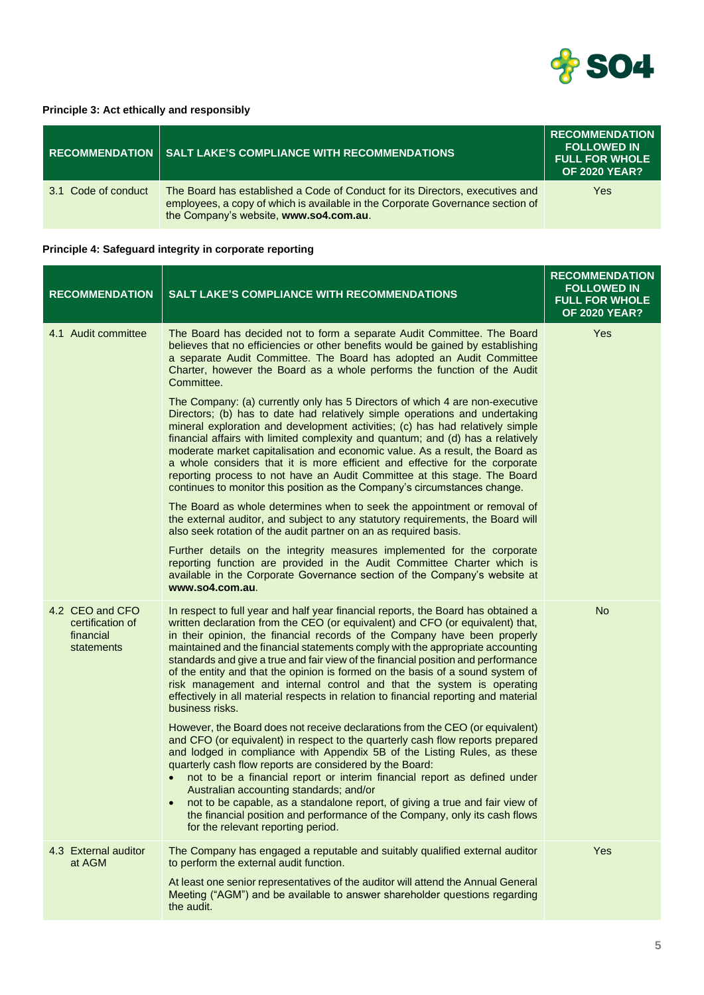

#### **Principle 3: Act ethically and responsibly**

|                     | RECOMMENDATION   SALT LAKE'S COMPLIANCE WITH RECOMMENDATIONS                                                                                                                                              | <b>RECOMMENDATION</b><br><b>FOLLOWED IN</b><br><b>FULL FOR WHOLE</b><br><b>OF 2020 YEAR?</b> |
|---------------------|-----------------------------------------------------------------------------------------------------------------------------------------------------------------------------------------------------------|----------------------------------------------------------------------------------------------|
| 3.1 Code of conduct | The Board has established a Code of Conduct for its Directors, executives and<br>employees, a copy of which is available in the Corporate Governance section of<br>the Company's website, www.so4.com.au. | Yes                                                                                          |

# **Principle 4: Safeguard integrity in corporate reporting**

| <b>RECOMMENDATION</b>                                          | <b>SALT LAKE'S COMPLIANCE WITH RECOMMENDATIONS</b>                                                                                                                                                                                                                                                                                                                                                                                                                                                                                                                                                                                                                                            | <b>RECOMMENDATION</b><br><b>FOLLOWED IN</b><br><b>FULL FOR WHOLE</b><br><b>OF 2020 YEAR?</b> |
|----------------------------------------------------------------|-----------------------------------------------------------------------------------------------------------------------------------------------------------------------------------------------------------------------------------------------------------------------------------------------------------------------------------------------------------------------------------------------------------------------------------------------------------------------------------------------------------------------------------------------------------------------------------------------------------------------------------------------------------------------------------------------|----------------------------------------------------------------------------------------------|
| 4.1 Audit committee                                            | The Board has decided not to form a separate Audit Committee. The Board<br>believes that no efficiencies or other benefits would be gained by establishing<br>a separate Audit Committee. The Board has adopted an Audit Committee<br>Charter, however the Board as a whole performs the function of the Audit<br>Committee.                                                                                                                                                                                                                                                                                                                                                                  | Yes                                                                                          |
|                                                                | The Company: (a) currently only has 5 Directors of which 4 are non-executive<br>Directors; (b) has to date had relatively simple operations and undertaking<br>mineral exploration and development activities; (c) has had relatively simple<br>financial affairs with limited complexity and quantum; and (d) has a relatively<br>moderate market capitalisation and economic value. As a result, the Board as<br>a whole considers that it is more efficient and effective for the corporate<br>reporting process to not have an Audit Committee at this stage. The Board<br>continues to monitor this position as the Company's circumstances change.                                      |                                                                                              |
|                                                                | The Board as whole determines when to seek the appointment or removal of<br>the external auditor, and subject to any statutory requirements, the Board will<br>also seek rotation of the audit partner on an as required basis.                                                                                                                                                                                                                                                                                                                                                                                                                                                               |                                                                                              |
|                                                                | Further details on the integrity measures implemented for the corporate<br>reporting function are provided in the Audit Committee Charter which is<br>available in the Corporate Governance section of the Company's website at<br>www.so4.com.au.                                                                                                                                                                                                                                                                                                                                                                                                                                            |                                                                                              |
| 4.2 CEO and CFO<br>certification of<br>financial<br>statements | In respect to full year and half year financial reports, the Board has obtained a<br>written declaration from the CEO (or equivalent) and CFO (or equivalent) that,<br>in their opinion, the financial records of the Company have been properly<br>maintained and the financial statements comply with the appropriate accounting<br>standards and give a true and fair view of the financial position and performance<br>of the entity and that the opinion is formed on the basis of a sound system of<br>risk management and internal control and that the system is operating<br>effectively in all material respects in relation to financial reporting and material<br>business risks. | <b>No</b>                                                                                    |
|                                                                | However, the Board does not receive declarations from the CEO (or equivalent)<br>and CFO (or equivalent) in respect to the quarterly cash flow reports prepared<br>and lodged in compliance with Appendix 5B of the Listing Rules, as these<br>quarterly cash flow reports are considered by the Board:<br>not to be a financial report or interim financial report as defined under<br>Australian accounting standards; and/or<br>not to be capable, as a standalone report, of giving a true and fair view of<br>the financial position and performance of the Company, only its cash flows<br>for the relevant reporting period.                                                           |                                                                                              |
| 4.3 External auditor<br>at AGM                                 | The Company has engaged a reputable and suitably qualified external auditor<br>to perform the external audit function.<br>At least one senior representatives of the auditor will attend the Annual General<br>Meeting ("AGM") and be available to answer shareholder questions regarding                                                                                                                                                                                                                                                                                                                                                                                                     | Yes                                                                                          |
|                                                                | the audit.                                                                                                                                                                                                                                                                                                                                                                                                                                                                                                                                                                                                                                                                                    |                                                                                              |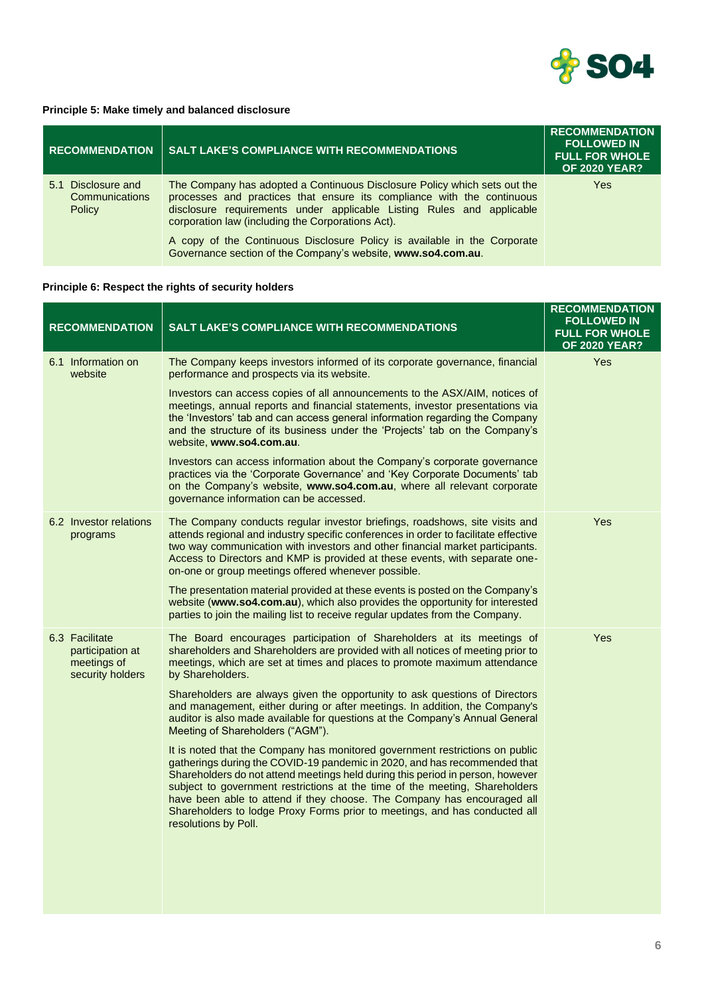

#### **Principle 5: Make timely and balanced disclosure**

| <b>RECOMMENDATION</b>                                    | <b>SALT LAKE'S COMPLIANCE WITH RECOMMENDATIONS</b>                                                                                                                                                                                                                                | <b>RECOMMENDATION</b><br><b>FOLLOWED IN</b><br><b>FULL FOR WHOLE</b><br><b>OF 2020 YEAR?</b> |
|----------------------------------------------------------|-----------------------------------------------------------------------------------------------------------------------------------------------------------------------------------------------------------------------------------------------------------------------------------|----------------------------------------------------------------------------------------------|
| Disclosure and<br>5.1<br><b>Communications</b><br>Policy | The Company has adopted a Continuous Disclosure Policy which sets out the<br>processes and practices that ensure its compliance with the continuous<br>disclosure requirements under applicable Listing Rules and applicable<br>corporation law (including the Corporations Act). | Yes                                                                                          |
|                                                          | A copy of the Continuous Disclosure Policy is available in the Corporate<br>Governance section of the Company's website, www.so4.com.au.                                                                                                                                          |                                                                                              |

# **Principle 6: Respect the rights of security holders**

| <b>RECOMMENDATION</b>                                                 | <b>SALT LAKE'S COMPLIANCE WITH RECOMMENDATIONS</b>                                                                                                                                                                                                                                                                                                                                                                                                                                                          | <b>RECOMMENDATION</b><br><b>FOLLOWED IN</b><br><b>FULL FOR WHOLE</b><br><b>OF 2020 YEAR?</b> |
|-----------------------------------------------------------------------|-------------------------------------------------------------------------------------------------------------------------------------------------------------------------------------------------------------------------------------------------------------------------------------------------------------------------------------------------------------------------------------------------------------------------------------------------------------------------------------------------------------|----------------------------------------------------------------------------------------------|
| 6.1 Information on<br>website                                         | The Company keeps investors informed of its corporate governance, financial<br>performance and prospects via its website.                                                                                                                                                                                                                                                                                                                                                                                   | Yes                                                                                          |
|                                                                       | Investors can access copies of all announcements to the ASX/AIM, notices of<br>meetings, annual reports and financial statements, investor presentations via<br>the 'Investors' tab and can access general information regarding the Company<br>and the structure of its business under the 'Projects' tab on the Company's<br>website, www.so4.com.au.                                                                                                                                                     |                                                                                              |
|                                                                       | Investors can access information about the Company's corporate governance<br>practices via the 'Corporate Governance' and 'Key Corporate Documents' tab<br>on the Company's website, www.so4.com.au, where all relevant corporate<br>governance information can be accessed.                                                                                                                                                                                                                                |                                                                                              |
| 6.2 Investor relations<br>programs                                    | The Company conducts regular investor briefings, roadshows, site visits and<br>attends regional and industry specific conferences in order to facilitate effective<br>two way communication with investors and other financial market participants.<br>Access to Directors and KMP is provided at these events, with separate one-<br>on-one or group meetings offered whenever possible.                                                                                                                   | Yes                                                                                          |
|                                                                       | The presentation material provided at these events is posted on the Company's<br>website (www.so4.com.au), which also provides the opportunity for interested<br>parties to join the mailing list to receive regular updates from the Company.                                                                                                                                                                                                                                                              |                                                                                              |
| 6.3 Facilitate<br>participation at<br>meetings of<br>security holders | The Board encourages participation of Shareholders at its meetings of<br>shareholders and Shareholders are provided with all notices of meeting prior to<br>meetings, which are set at times and places to promote maximum attendance<br>by Shareholders.                                                                                                                                                                                                                                                   | Yes                                                                                          |
|                                                                       | Shareholders are always given the opportunity to ask questions of Directors<br>and management, either during or after meetings. In addition, the Company's<br>auditor is also made available for questions at the Company's Annual General<br>Meeting of Shareholders ("AGM").                                                                                                                                                                                                                              |                                                                                              |
|                                                                       | It is noted that the Company has monitored government restrictions on public<br>gatherings during the COVID-19 pandemic in 2020, and has recommended that<br>Shareholders do not attend meetings held during this period in person, however<br>subject to government restrictions at the time of the meeting, Shareholders<br>have been able to attend if they choose. The Company has encouraged all<br>Shareholders to lodge Proxy Forms prior to meetings, and has conducted all<br>resolutions by Poll. |                                                                                              |
|                                                                       |                                                                                                                                                                                                                                                                                                                                                                                                                                                                                                             |                                                                                              |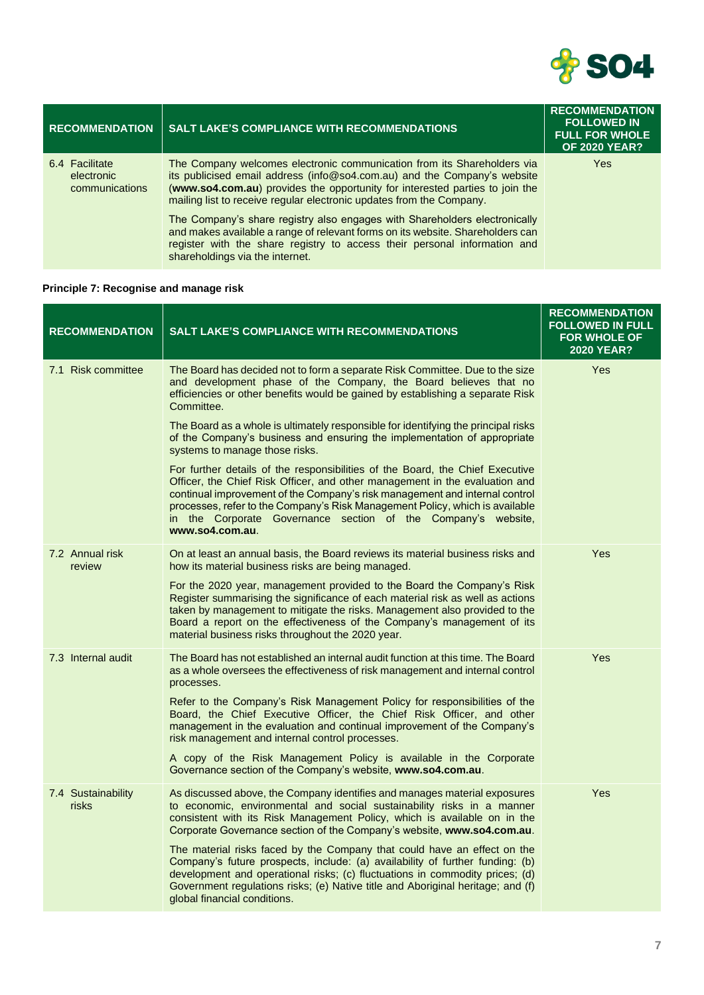

| <b>RECOMMENDATION</b>                          | <b>SALT LAKE'S COMPLIANCE WITH RECOMMENDATIONS</b>                                                                                                                                                                                                                                                          | <b>RECOMMENDATION</b><br><b>FOLLOWED IN</b><br><b>FULL FOR WHOLE</b><br><b>OF 2020 YEAR?</b> |
|------------------------------------------------|-------------------------------------------------------------------------------------------------------------------------------------------------------------------------------------------------------------------------------------------------------------------------------------------------------------|----------------------------------------------------------------------------------------------|
| 6.4 Facilitate<br>electronic<br>communications | The Company welcomes electronic communication from its Shareholders via<br>its publicised email address (info@so4.com.au) and the Company's website<br>(www.so4.com.au) provides the opportunity for interested parties to join the<br>mailing list to receive regular electronic updates from the Company. | Yes                                                                                          |
|                                                | The Company's share registry also engages with Shareholders electronically<br>and makes available a range of relevant forms on its website. Shareholders can<br>register with the share registry to access their personal information and<br>shareholdings via the internet.                                |                                                                                              |

# **Principle 7: Recognise and manage risk**

| <b>RECOMMENDATION</b>       | <b>SALT LAKE'S COMPLIANCE WITH RECOMMENDATIONS</b>                                                                                                                                                                                                                                                                                                                                                              | <b>RECOMMENDATION</b><br><b>FOLLOWED IN FULL</b><br><b>FOR WHOLE OF</b><br><b>2020 YEAR?</b> |
|-----------------------------|-----------------------------------------------------------------------------------------------------------------------------------------------------------------------------------------------------------------------------------------------------------------------------------------------------------------------------------------------------------------------------------------------------------------|----------------------------------------------------------------------------------------------|
| 7.1 Risk committee          | The Board has decided not to form a separate Risk Committee. Due to the size<br>and development phase of the Company, the Board believes that no<br>efficiencies or other benefits would be gained by establishing a separate Risk<br>Committee.                                                                                                                                                                | Yes                                                                                          |
|                             | The Board as a whole is ultimately responsible for identifying the principal risks<br>of the Company's business and ensuring the implementation of appropriate<br>systems to manage those risks.                                                                                                                                                                                                                |                                                                                              |
|                             | For further details of the responsibilities of the Board, the Chief Executive<br>Officer, the Chief Risk Officer, and other management in the evaluation and<br>continual improvement of the Company's risk management and internal control<br>processes, refer to the Company's Risk Management Policy, which is available<br>in the Corporate Governance section of the Company's website,<br>www.so4.com.au. |                                                                                              |
| 7.2 Annual risk<br>review   | On at least an annual basis, the Board reviews its material business risks and<br>how its material business risks are being managed.                                                                                                                                                                                                                                                                            | Yes                                                                                          |
|                             | For the 2020 year, management provided to the Board the Company's Risk<br>Register summarising the significance of each material risk as well as actions<br>taken by management to mitigate the risks. Management also provided to the<br>Board a report on the effectiveness of the Company's management of its<br>material business risks throughout the 2020 year.                                           |                                                                                              |
| 7.3 Internal audit          | The Board has not established an internal audit function at this time. The Board<br>as a whole oversees the effectiveness of risk management and internal control<br>processes.                                                                                                                                                                                                                                 | Yes                                                                                          |
|                             | Refer to the Company's Risk Management Policy for responsibilities of the<br>Board, the Chief Executive Officer, the Chief Risk Officer, and other<br>management in the evaluation and continual improvement of the Company's<br>risk management and internal control processes.                                                                                                                                |                                                                                              |
|                             | A copy of the Risk Management Policy is available in the Corporate<br>Governance section of the Company's website, www.so4.com.au.                                                                                                                                                                                                                                                                              |                                                                                              |
| 7.4 Sustainability<br>risks | As discussed above, the Company identifies and manages material exposures<br>to economic, environmental and social sustainability risks in a manner<br>consistent with its Risk Management Policy, which is available on in the<br>Corporate Governance section of the Company's website, www.so4.com.au.                                                                                                       | Yes                                                                                          |
|                             | The material risks faced by the Company that could have an effect on the<br>Company's future prospects, include: (a) availability of further funding: (b)<br>development and operational risks; (c) fluctuations in commodity prices; (d)<br>Government regulations risks; (e) Native title and Aboriginal heritage; and (f)<br>global financial conditions.                                                    |                                                                                              |